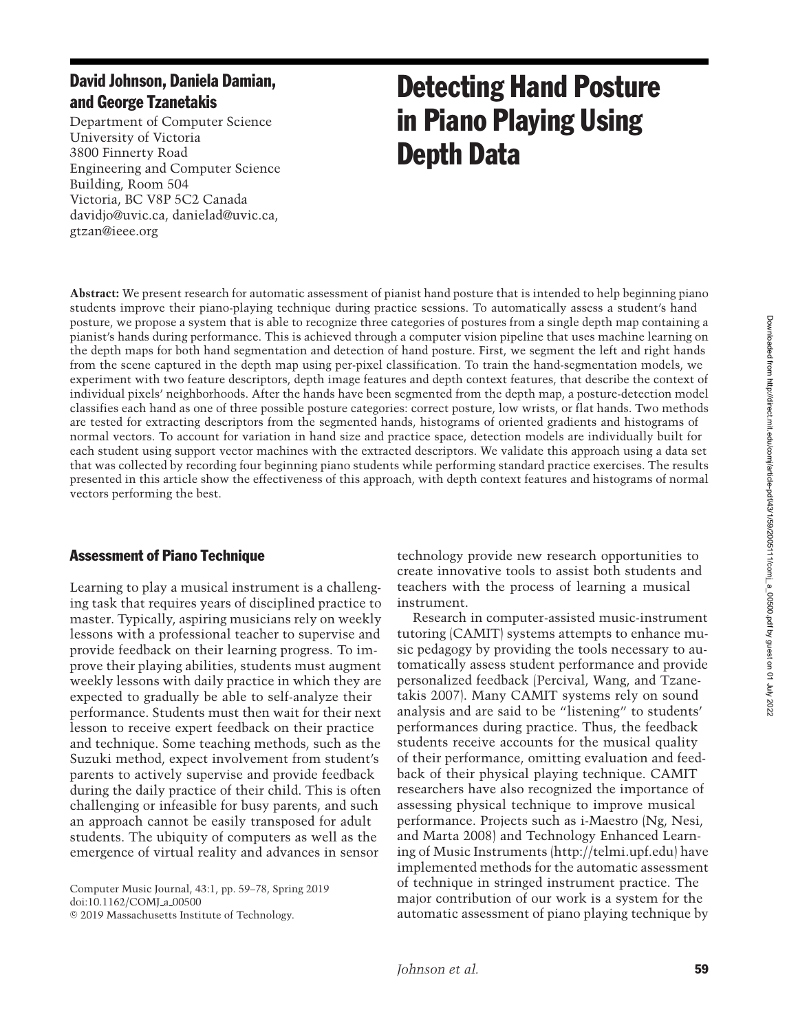# David Johnson, Daniela Damian, and George Tzanetakis

Department of Computer Science University of Victoria 3800 Finnerty Road Engineering and Computer Science Building, Room 504 Victoria, BC V8P 5C2 Canada davidjo@uvic.ca, danielad@uvic.ca, gtzan@ieee.org

# Detecting Hand Posture in Piano Playing Using Depth Data

**Abstract:** We present research for automatic assessment of pianist hand posture that is intended to help beginning piano students improve their piano-playing technique during practice sessions. To automatically assess a student's hand posture, we propose a system that is able to recognize three categories of postures from a single depth map containing a pianist's hands during performance. This is achieved through a computer vision pipeline that uses machine learning on the depth maps for both hand segmentation and detection of hand posture. First, we segment the left and right hands from the scene captured in the depth map using per-pixel classification. To train the hand-segmentation models, we experiment with two feature descriptors, depth image features and depth context features, that describe the context of individual pixels' neighborhoods. After the hands have been segmented from the depth map, a posture-detection model classifies each hand as one of three possible posture categories: correct posture, low wrists, or flat hands. Two methods are tested for extracting descriptors from the segmented hands, histograms of oriented gradients and histograms of normal vectors. To account for variation in hand size and practice space, detection models are individually built for each student using support vector machines with the extracted descriptors. We validate this approach using a data set that was collected by recording four beginning piano students while performing standard practice exercises. The results presented in this article show the effectiveness of this approach, with depth context features and histograms of normal vectors performing the best.

# Assessment of Piano Technique

Learning to play a musical instrument is a challenging task that requires years of disciplined practice to master. Typically, aspiring musicians rely on weekly lessons with a professional teacher to supervise and provide feedback on their learning progress. To improve their playing abilities, students must augment weekly lessons with daily practice in which they are expected to gradually be able to self-analyze their performance. Students must then wait for their next lesson to receive expert feedback on their practice and technique. Some teaching methods, such as the Suzuki method, expect involvement from student's parents to actively supervise and provide feedback during the daily practice of their child. This is often challenging or infeasible for busy parents, and such an approach cannot be easily transposed for adult students. The ubiquity of computers as well as the emergence of virtual reality and advances in sensor

Computer Music Journal, 43:1, pp. 59–78, Spring 2019 doi:10.1162/COMJ\_a\_00500  $©$  2019 Massachusetts Institute of Technology.

technology provide new research opportunities to create innovative tools to assist both students and teachers with the process of learning a musical instrument.

Research in computer-assisted music-instrument tutoring (CAMIT) systems attempts to enhance music pedagogy by providing the tools necessary to automatically assess student performance and provide pers[onalized](#page-18-0) [feedback](#page-18-0) [\(](#page-18-0)Percival, Wang, and Tzanetakis [2007](#page-18-0)). Many CAMIT systems rely on sound analysis and are said to be "listening" to students' performances during practice. Thus, the feedback students receive accounts for the musical quality of their performance, omitting evaluation and feedback of their physical playing technique. CAMIT researchers have also recognized the importance of assessing physical technique to improve musical performa[nce. Projects such as i-Maestro \(](#page-18-1)Ng, Nesi, and Marta [2008\)](#page-18-1) and Technology Enhanced Learning of Music Instruments (http://telmi.upf.edu) have implemented methods for the automatic assessment of technique in stringed instrument practice. The major contribution of our work is a system for the automatic assessment of piano playing technique by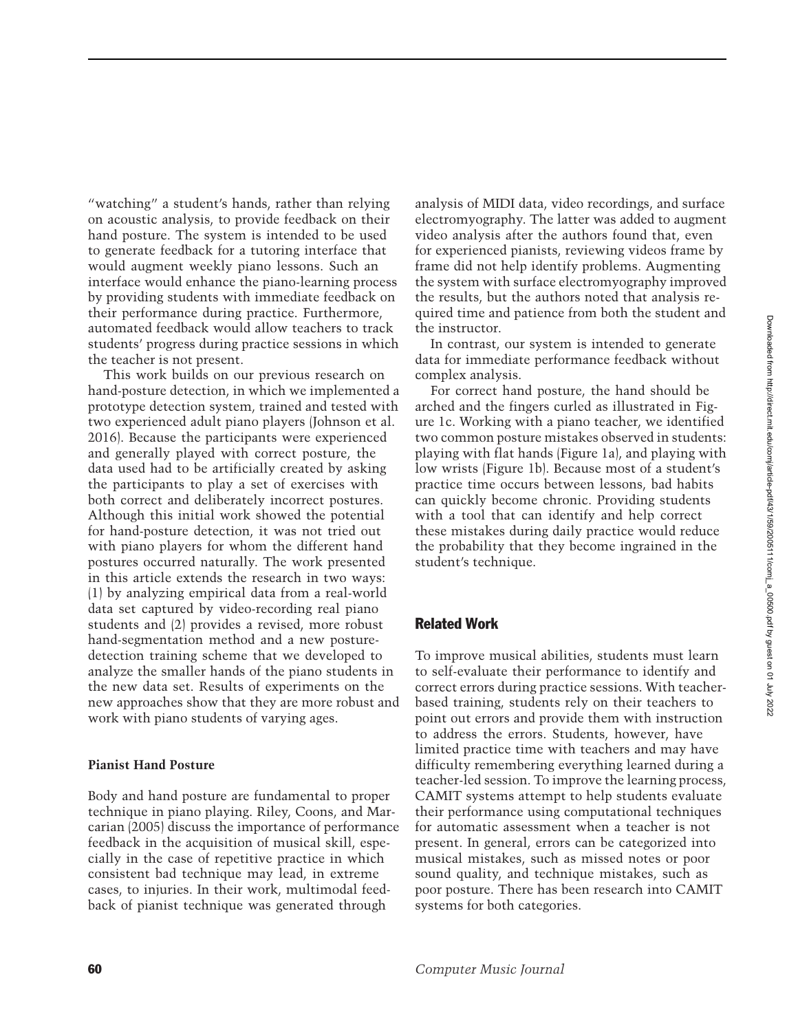"watching" a student's hands, rather than relying on acoustic analysis, to provide feedback on their hand posture. The system is intended to be used to generate feedback for a tutoring interface that would augment weekly piano lessons. Such an interface would enhance the piano-learning process by providing students with immediate feedback on their performance during practice. Furthermore, automated feedback would allow teachers to track students' progress during practice sessions in which the teacher is not present.

This work builds on our previous research on hand-posture detection, in which we implemented a prototype detection system, trained and tested with two experienced adult piano players [\(Johnson et al.](#page-18-2) [2016\)](#page-18-2). Because the participants were experienced and generally played with correct posture, the data used had to be artificially created by asking the participants to play a set of exercises with both correct and deliberately incorrect postures. Although this initial work showed the potential for hand-posture detection, it was not tried out with piano players for whom the different hand postures occurred naturally. The work presented in this article extends the research in two ways: (1) by analyzing empirical data from a real-world data set captured by video-recording real piano students and (2) provides a revised, more robust hand-segmentation method and a new posturedetection training scheme that we developed to analyze the smaller hands of the piano students in the new data set. Results of experiments on the new approaches show that they are more robust and work with piano students of varying ages.

#### **Pianist Hand Posture**

Body and hand posture are fundamental to proper techn[ique in piano playing.](#page-18-3) Riley, Coons, and Marcarian [\(2005](#page-18-3)) discuss the importance of performance feedback in the acquisition of musical skill, especially in the case of repetitive practice in which consistent bad technique may lead, in extreme cases, to injuries. In their work, multimodal feedback of pianist technique was generated through

analysis of MIDI data, video recordings, and surface electromyography. The latter was added to augment video analysis after the authors found that, even for experienced pianists, reviewing videos frame by frame did not help identify problems. Augmenting the system with surface electromyography improved the results, but the authors noted that analysis required time and patience from both the student and the instructor.

In contrast, our system is intended to generate data for immediate performance feedback without complex analysis.

For correct hand posture, the hand should be arched and the fingers curled as illustrated in Figure 1c. Working with a piano teacher, we identified two common posture mistakes observed in students: playing with flat hands (Figure 1a), and playing with low wrists (Figure 1b). Because most of a student's practice time occurs between lessons, bad habits can quickly become chronic. Providing students with a tool that can identify and help correct these mistakes during daily practice would reduce the probability that they become ingrained in the student's technique.

#### Related Work

To improve musical abilities, students must learn to self-evaluate their performance to identify and correct errors during practice sessions. With teacherbased training, students rely on their teachers to point out errors and provide them with instruction to address the errors. Students, however, have limited practice time with teachers and may have difficulty remembering everything learned during a teacher-led session. To improve the learning process, CAMIT systems attempt to help students evaluate their performance using computational techniques for automatic assessment when a teacher is not present. In general, errors can be categorized into musical mistakes, such as missed notes or poor sound quality, and technique mistakes, such as poor posture. There has been research into CAMIT systems for both categories.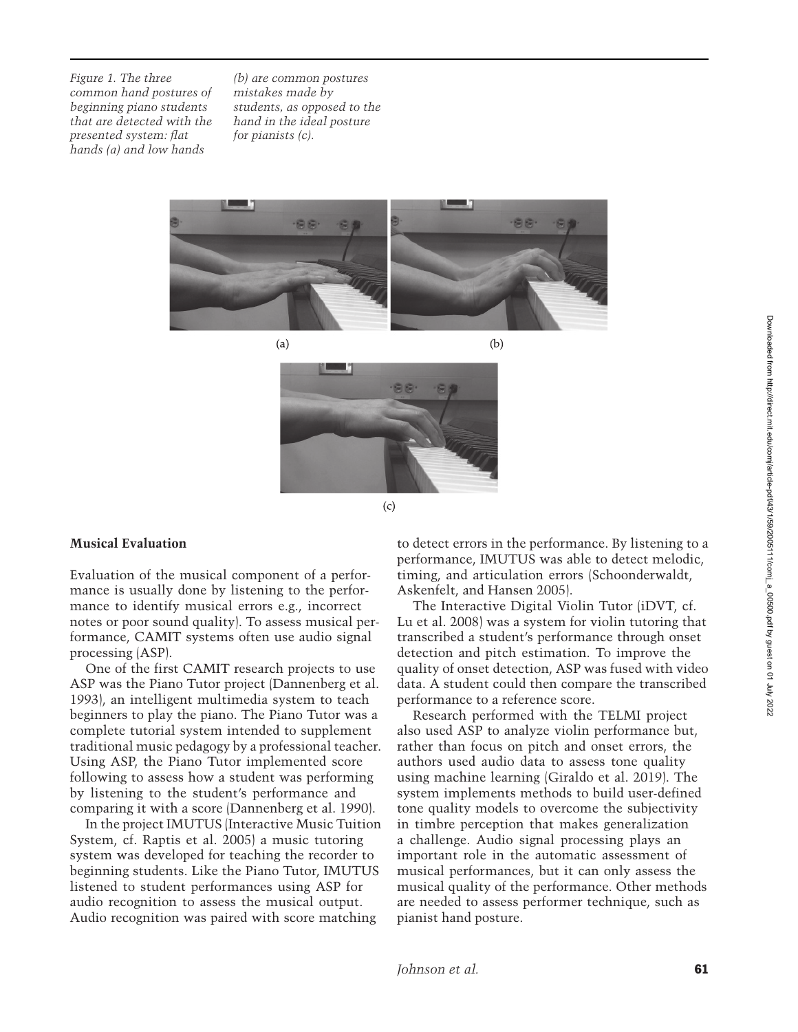*Figure 1. The three common hand postures of beginning piano students that are detected with the presented system: flat hands (a) and low hands*

*(b) are common postures mistakes made by students, as opposed to the hand in the ideal posture for pianists (c).*





 $(c)$ 

#### **Musical Evaluation**

Evaluation of the musical component of a performance is usually done by listening to the performance to identify musical errors e.g., incorrect notes or poor sound quality). To assess musical performance, CAMIT systems often use audio signal processing (ASP).

One of the first CAMIT research projects to use ASP was the Piano Tutor project [\(Dannenberg et al.](#page-17-0) [1993\)](#page-17-0), an intelligent multimedia system to teach beginners to play the piano. The Piano Tutor was a complete tutorial system intended to supplement traditional music pedagogy by a professional teacher. Using ASP, the Piano Tutor implemented score following to assess how a student was performing by listening to the student's performance and comparing it with a score [\(Dannenberg et al. 1990\)](#page-17-1).

In the project IMUTUS (Interactive Music Tuition System, cf. [Raptis et al. 2005](#page-18-4)) a music tutoring system was developed for teaching the recorder to beginning students. Like the Piano Tutor, IMUTUS listened to student performances using ASP for audio recognition to assess the musical output. Audio recognition was paired with score matching

to detect errors in the performance. By listening to a performance, IMUTUS was able to detect melodic, timing, and articulati[on](#page-18-5) [errors](#page-18-5) [\(](#page-18-5)Schoonderwaldt, Askenfelt, and Hansen [2005](#page-18-5)).

The Interactive Digital Violin Tutor (iDVT, cf. [Lu et al. 2008\)](#page-18-6) was a system for violin tutoring that transcribed a student's performance through onset detection and pitch estimation. To improve the quality of onset detection, ASP was fused with video data. A student could then compare the transcribed performance to a reference score.

Research performed with the TELMI project also used ASP to analyze violin performance but, rather than focus on pitch and onset errors, the authors used audio data to assess tone quality using machine learning [\(Giraldo et al. 2019](#page-17-2)). The system implements methods to build user-defined tone quality models to overcome the subjectivity in timbre perception that makes generalization a challenge. Audio signal processing plays an important role in the automatic assessment of musical performances, but it can only assess the musical quality of the performance. Other methods are needed to assess performer technique, such as pianist hand posture.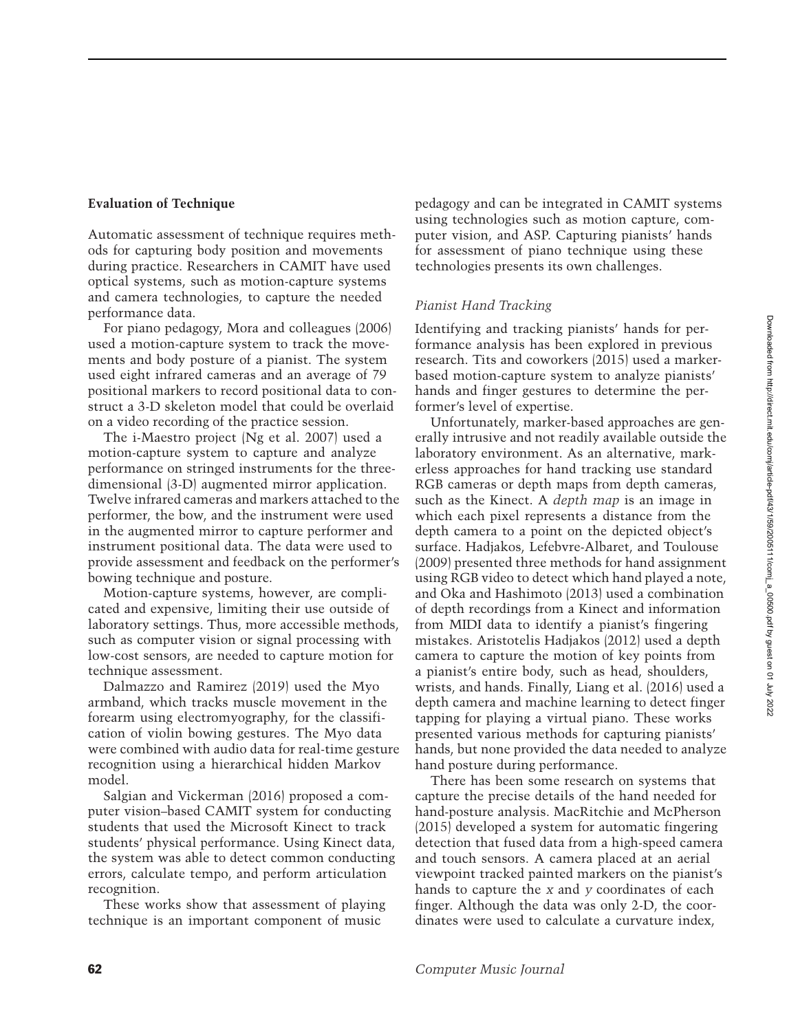#### **Evaluation of Technique**

Automatic assessment of technique requires methods for capturing body position and movements during practice. Researchers in CAMIT have used optical systems, such as motion-capture systems and camera technologies, to capture the needed performance data.

For piano pedagogy, Mora and colleagues [\(2006\)](#page-18-7) used a motion-capture system to track the movements and body posture of a pianist. The system used eight infrared cameras and an average of 79 positional markers to record positional data to construct a 3-D skeleton model that could be overlaid on a video recording of the practice session.

The i-Maestro project [\(Ng et al. 2007](#page-18-8)) used a motion-capture system to capture and analyze performance on stringed instruments for the threedimensional (3-D) augmented mirror application. Twelve infrared cameras and markers attached to the performer, the bow, and the instrument were used in the augmented mirror to capture performer and instrument positional data. The data were used to provide assessment and feedback on the performer's bowing technique and posture.

Motion-capture systems, however, are complicated and expensive, limiting their use outside of laboratory settings. Thus, more accessible methods, such as computer vision or signal processing with low-cost sensors, are needed to capture motion for [technique](#page-17-3) [assessment.](#page-17-3)

Dalmazzo and Ramirez [\(2019\)](#page-17-3) used the Myo armband, which tracks muscle movement in the forearm using electromyography, for the classification of violin bowing gestures. The Myo data were combined with audio data for real-time gesture recognition using a hierarchical hidden Markov [model.](#page-18-9)

Salgian and Vickerman [\(2016\)](#page-18-9) proposed a computer vision–based CAMIT system for conducting students that used the Microsoft Kinect to track students' physical performance. Using Kinect data, the system was able to detect common conducting errors, calculate tempo, and perform articulation recognition.

These works show that assessment of playing technique is an important component of music

pedagogy and can be integrated in CAMIT systems using technologies such as motion capture, computer vision, and ASP. Capturing pianists' hands for assessment of piano technique using these technologies presents its own challenges.

### *Pianist Hand Tracking*

Identifying and tracking pianists' hands for performance analysis has been explored in previous research. Tits and coworkers [\(2015](#page-19-0)) used a markerbased motion-capture system to analyze pianists' hands and finger gestures to determine the performer's level of expertise.

Unfortunately, marker-based approaches are generally intrusive and not readily available outside the laboratory environment. As an alternative, markerless approaches for hand tracking use standard RGB cameras or depth maps from depth cameras, such as the Kinect. A *depth map* is an image in which each pixel represents a distance from the depth camera to a point on the depicted object's surface. [Hadjakos, Lefebvre-Albaret, and Toulouse](#page-17-4) [\(2009](#page-17-4)) presented three methods for hand assignment using RGB video to detect which hand played a note, and [Oka and Hashimoto](#page-18-10) [\(2013](#page-18-10)) used a combination of depth recordings from a Kinect and information from MIDI data to identify a pianist's fingering mistakes. Aristotelis [Hadjakos](#page-17-5) [\(2012\)](#page-17-5) used a depth camera to capture the motion of key points from a pianist's entire body, such as head, shoulders, wrists, and hands. Finally, [Liang et al.](#page-18-11) [\(2016](#page-18-11)) used a depth camera and machine learning to detect finger tapping for playing a virtual piano. These works presented various methods for capturing pianists' hands, but none provided the data needed to analyze hand posture during performance.

There has been some research on systems that capture the precise details of the hand needed for hand-posture analysis. [MacRitchie and McPherson](#page-18-12) [\(2015](#page-18-12)) developed a system for automatic fingering detection that fused data from a high-speed camera and touch sensors. A camera placed at an aerial viewpoint tracked painted markers on the pianist's hands to capture the *x* and *y* coordinates of each finger. Although the data was only 2-D, the coordinates were used to calculate a curvature index,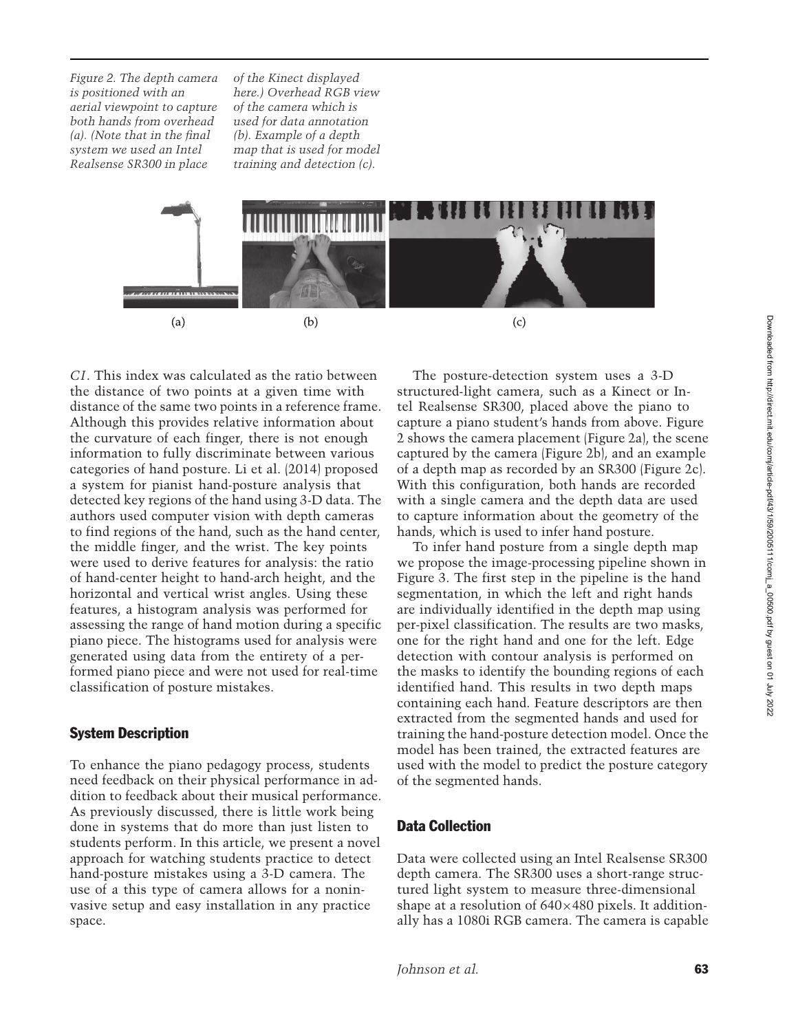*Figure 2. The depth camera is positioned with an aerial viewpoint to capture both hands from overhead (a). (Note that in the final system we used an Intel Realsense SR300 in place*

*of the Kinect displayed here.) Overhead RGB view of the camera which is used for data annotation (b). Example of a depth map that is used for model training and detection (c).*



*CI*. This index was calculated as the ratio between the distance of two points at a given time with distance of the same two points in a reference frame. Although this provides relative information about the curvature of each finger, there is not enough information to fully discriminate between various categories of hand posture. [Li et al.](#page-18-13) [\(2014\)](#page-18-13) proposed a system for pianist hand-posture analysis that detected key regions of the hand using 3-D data. The authors used computer vision with depth cameras to find regions of the hand, such as the hand center, the middle finger, and the wrist. The key points were used to derive features for analysis: the ratio of hand-center height to hand-arch height, and the horizontal and vertical wrist angles. Using these features, a histogram analysis was performed for assessing the range of hand motion during a specific piano piece. The histograms used for analysis were generated using data from the entirety of a performed piano piece and were not used for real-time classification of posture mistakes.

#### System Description

To enhance the piano pedagogy process, students need feedback on their physical performance in addition to feedback about their musical performance. As previously discussed, there is little work being done in systems that do more than just listen to students perform. In this article, we present a novel approach for watching students practice to detect hand-posture mistakes using a 3-D camera. The use of a this type of camera allows for a noninvasive setup and easy installation in any practice space.

The posture-detection system uses a 3-D structured-light camera, such as a Kinect or Intel Realsense SR300, placed above the piano to capture a piano student's hands from above. Figure 2 shows the camera placement (Figure 2a), the scene captured by the camera (Figure 2b), and an example of a depth map as recorded by an SR300 (Figure 2c). With this configuration, both hands are recorded with a single camera and the depth data are used to capture information about the geometry of the hands, which is used to infer hand posture.

To infer hand posture from a single depth map we propose the image-processing pipeline shown in Figure 3. The first step in the pipeline is the hand segmentation, in which the left and right hands are individually identified in the depth map using per-pixel classification. The results are two masks, one for the right hand and one for the left. Edge detection with contour analysis is performed on the masks to identify the bounding regions of each identified hand. This results in two depth maps containing each hand. Feature descriptors are then extracted from the segmented hands and used for training the hand-posture detection model. Once the model has been trained, the extracted features are used with the model to predict the posture category of the segmented hands.

# Data Collection

Data were collected using an Intel Realsense SR300 depth camera. The SR300 uses a short-range structured light system to measure three-dimensional shape at a resolution of  $640\times480$  pixels. It additionally has a 1080i RGB camera. The camera is capable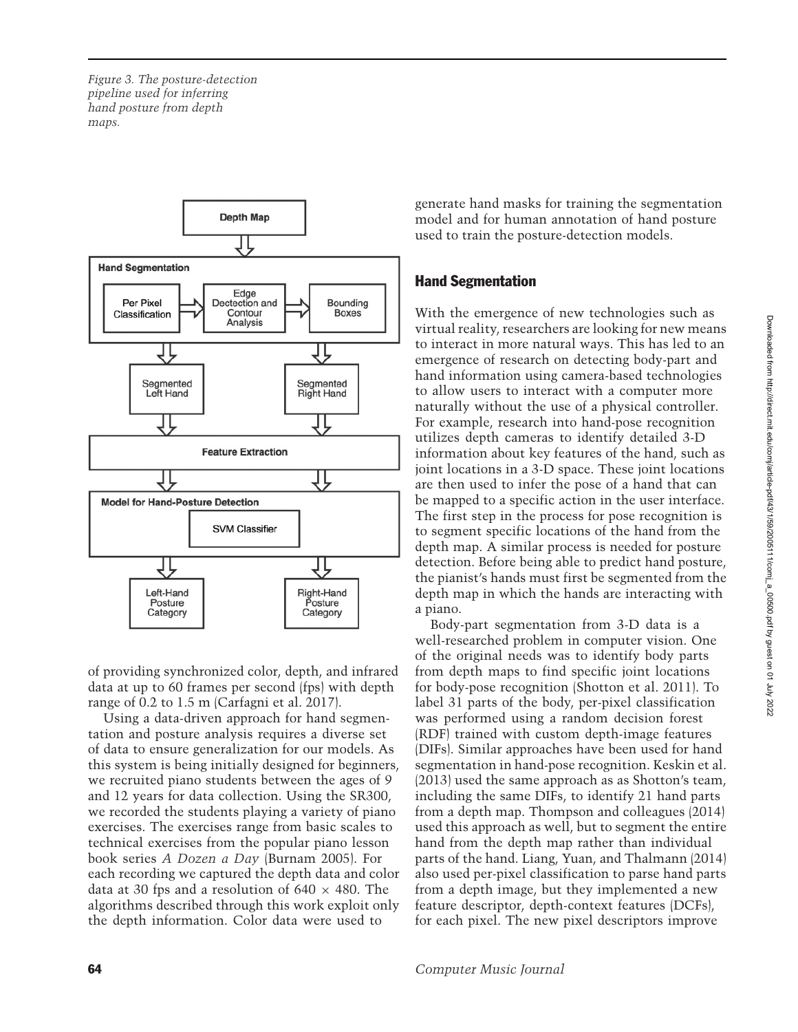*Figure 3. The posture-detection pipeline used for inferring hand posture from depth maps.*



of providing synchronized color, depth, and infrared data at up to 60 frames per second (fps) with depth range of 0.2 to 1.5 m [\(Carfagni et al. 2017\)](#page-17-6).

Using a data-driven approach for hand segmentation and posture analysis requires a diverse set of data to ensure generalization for our models. As this system is being initially designed for beginners, we recruited piano students between the ages of 9 and 12 years for data collection. Using the SR300, we recorded the students playing a variety of piano exercises. The exercises range from basic scales to technical exercises from the popular piano lesson book series *A Dozen a Day* [\(Burnam 2005\)](#page-17-7). For each recording we captured the depth data and color data at 30 fps and a resolution of  $640 \times 480$ . The algorithms described through this work exploit only the depth information. Color data were used to

generate hand masks for training the segmentation model and for human annotation of hand posture used to train the posture-detection models.

# Hand Segmentation

With the emergence of new technologies such as virtual reality, researchers are looking for new means to interact in more natural ways. This has led to an emergence of research on detecting body-part and hand information using camera-based technologies to allow users to interact with a computer more naturally without the use of a physical controller. For example, research into hand-pose recognition utilizes depth cameras to identify detailed 3-D information about key features of the hand, such as joint locations in a 3-D space. These joint locations are then used to infer the pose of a hand that can be mapped to a specific action in the user interface. The first step in the process for pose recognition is to segment specific locations of the hand from the depth map. A similar process is needed for posture detection. Before being able to predict hand posture, the pianist's hands must first be segmented from the depth map in which the hands are interacting with a piano.

Body-part segmentation from 3-D data is a well-researched problem in computer vision. One of the original needs was to identify body parts from depth maps to find specific joint locations for body-pose recognition [\(Shotton et al. 2011](#page-18-14)). To label 31 parts of the body, per-pixel classification was performed using a random decision forest (RDF) trained with custom depth-image features (DIFs). Similar approaches have been used for hand segmentation in hand-pose recognition. [Keskin et al.](#page-18-15) [\(2013](#page-18-15)) used the same approach as as Shotton's team, including the same DIFs, to identify 21 hand parts from a depth map. Thompson and colleagues [\(2014\)](#page-19-1) used this approach as well, but to segment the entire hand from the depth map rather than individual parts of the hand. [Liang, Yuan, and Thalmann](#page-18-16) [\(2014\)](#page-18-16) also used per-pixel classification to parse hand parts from a depth image, but they implemented a new feature descriptor, depth-context features (DCFs), for each pixel. The new pixel descriptors improve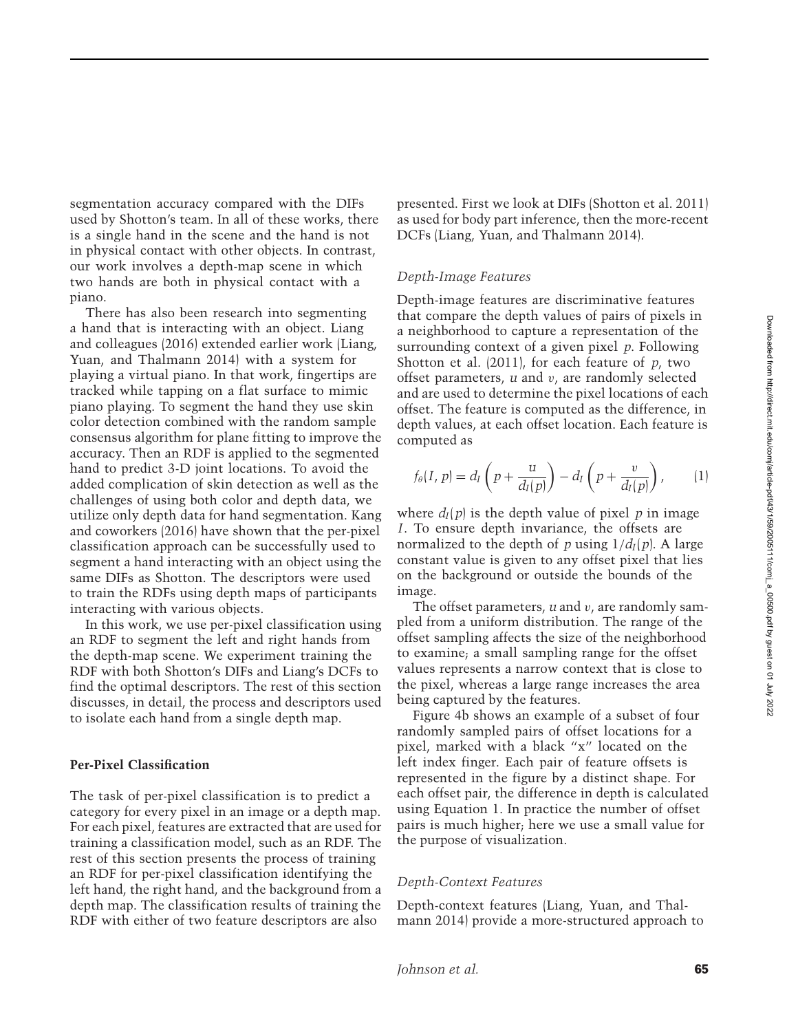segmentation accuracy compared with the DIFs used by Shotton's team. In all of these works, there is a single hand in the scene and the hand is not in physical contact with other objects. In contrast, our work involves a depth-map scene in which two hands are both in physical contact with a piano.

There has also been research into segmenting a hand that is interacting with an object. Liang and colleagues [\(2016\)](#page-18-11) [extended earlier work \(](#page-18-16)Liang, Yuan, and Thalmann [2014\)](#page-18-16) with a system for playing a virtual piano. In that work, fingertips are tracked while tapping on a flat surface to mimic piano playing. To segment the hand they use skin color detection combined with the random sample consensus algorithm for plane fitting to improve the accuracy. Then an RDF is applied to the segmented hand to predict 3-D joint locations. To avoid the added complication of skin detection as well as the challenges of using both color and depth data, we utilize only depth data for hand segmentation. Kang and coworkers [\(2016\)](#page-18-17) have shown that the per-pixel classification approach can be successfully used to segment a hand interacting with an object using the same DIFs as Shotton. The descriptors were used to train the RDFs using depth maps of participants interacting with various objects.

In this work, we use per-pixel classification using an RDF to segment the left and right hands from the depth-map scene. We experiment training the RDF with both Shotton's DIFs and Liang's DCFs to find the optimal descriptors. The rest of this section discusses, in detail, the process and descriptors used to isolate each hand from a single depth map.

#### **Per-Pixel Classification**

The task of per-pixel classification is to predict a category for every pixel in an image or a depth map. For each pixel, features are extracted that are used for training a classification model, such as an RDF. The rest of this section presents the process of training an RDF for per-pixel classification identifying the left hand, the right hand, and the background from a depth map. The classification results of training the RDF with either of two feature descriptors are also

presented. First we look at DIFs [\(Shotton et al. 2011](#page-18-14)) as used for body part inference, then the more-recent DCFs [\(Liang, Yuan, and Thalmann 2014](#page-18-16)).

#### *Depth-Image Features*

Depth-image features are discriminative features that compare the depth values of pairs of pixels in a neighborhood to capture a representation of the surrounding context of a given pixel *p*. Following [Shotton et al.](#page-18-14) [\(2011](#page-18-14)), for each feature of *p*, two offset parameters, *u* and v, are randomly selected and are used to determine the pixel locations of each offset. The feature is computed as the difference, in depth values, at each offset location. Each feature is computed as

<span id="page-6-0"></span>
$$
f_{\theta}(I, p) = d_I \left( p + \frac{u}{d_I(p)} \right) - d_I \left( p + \frac{v}{d_I(p)} \right), \qquad (1)
$$

where  $d_I(p)$  is the depth value of pixel p in image *I*. To ensure depth invariance, the offsets are normalized to the depth of *p* using  $1/d_I(p)$ . A large constant value is given to any offset pixel that lies on the background or outside the bounds of the image.

The offset parameters, *u* and v, are randomly sampled from a uniform distribution. The range of the offset sampling affects the size of the neighborhood to examine; a small sampling range for the offset values represents a narrow context that is close to the pixel, whereas a large range increases the area being captured by the features.

Figure 4b shows an example of a subset of four randomly sampled pairs of offset locations for a pixel, marked with a black "x" located on the left index finger. Each pair of feature offsets is represented in the figure by a distinct shape. For each offset pair, the difference in depth is calculated using Equation [1.](#page-6-0) In practice the number of offset pairs is much higher; here we use a small value for the purpose of visualization.

#### *Depth-Context Features*

Dept[h-context features \(](#page-18-16)Liang, Yuan, and Thalmann [2014\)](#page-18-16) provide a more-structured approach to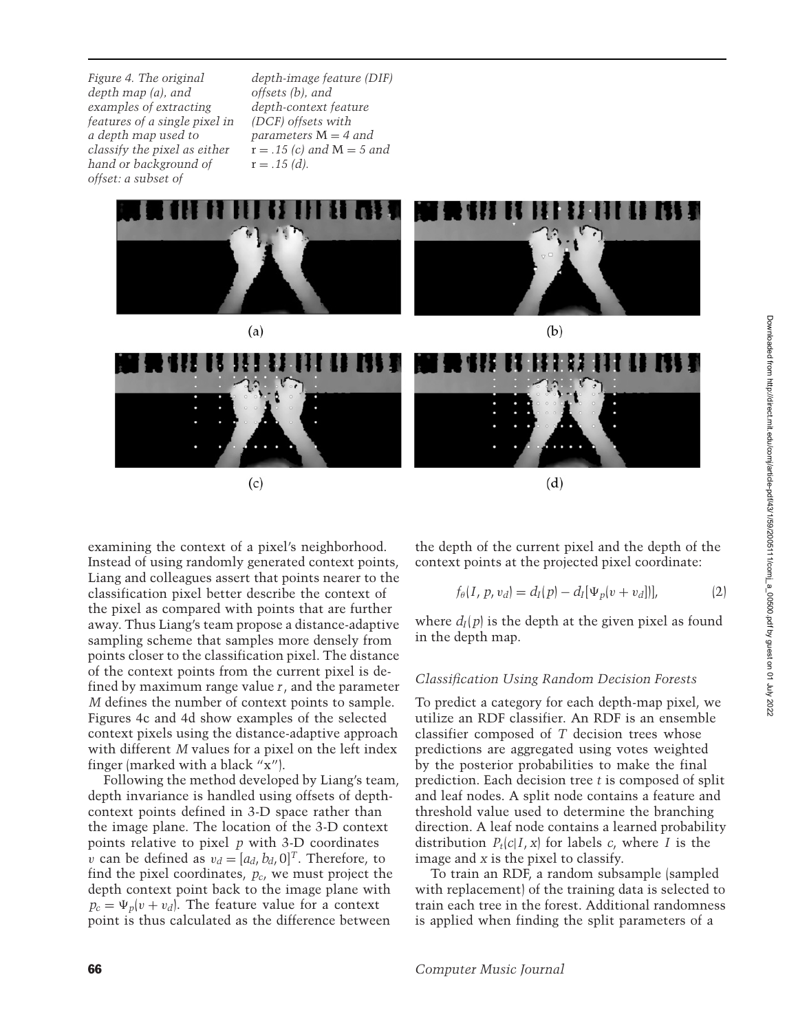*Figure 4. The original depth map (a), and examples of extracting features of a single pixel in a depth map used to classify the pixel as either hand or background of offset: a subset of*

*depth-image feature (DIF) offsets (b), and depth-context feature (DCF) offsets with parameters* M = *4 and*  $r = .15$  (c) and  $M = 5$  and  $r = .15$  (d).



examining the context of a pixel's neighborhood. Instead of using randomly generated context points, Liang and colleagues assert that points nearer to the classification pixel better describe the context of the pixel as compared with points that are further away. Thus Liang's team propose a distance-adaptive sampling scheme that samples more densely from points closer to the classification pixel. The distance of the context points from the current pixel is defined by maximum range value *r*, and the parameter *M* defines the number of context points to sample. Figures 4c and 4d show examples of the selected context pixels using the distance-adaptive approach with different *M* values for a pixel on the left index finger (marked with a black "x").

Following the method developed by Liang's team, depth invariance is handled using offsets of depthcontext points defined in 3-D space rather than the image plane. The location of the 3-D context points relative to pixel *p* with 3-D coordinates v can be defined as  $v_d = [a_d, b_d, 0]^T$ . Therefore, to find the pixel coordinates, *pc*, we must project the depth context point back to the image plane with  $p_c = \Psi_p(v + v_d)$ . The feature value for a context point is thus calculated as the difference between

the depth of the current pixel and the depth of the context points at the projected pixel coordinate:

$$
f_{\theta}(I, p, v_d) = d_I(p) - d_I[\Psi_p(v + v_d])],
$$
 (2)

where  $d_I(p)$  is the depth at the given pixel as found in the depth map.

#### *Classification Using Random Decision Forests*

To predict a category for each depth-map pixel, we utilize an RDF classifier. An RDF is an ensemble classifier composed of *T* decision trees whose predictions are aggregated using votes weighted by the posterior probabilities to make the final prediction. Each decision tree *t* is composed of split and leaf nodes. A split node contains a feature and threshold value used to determine the branching direction. A leaf node contains a learned probability distribution  $P_t(c|I, x)$  for labels *c*, where *I* is the image and *x* is the pixel to classify.

To train an RDF, a random subsample (sampled with replacement) of the training data is selected to train each tree in the forest. Additional randomness is applied when finding the split parameters of a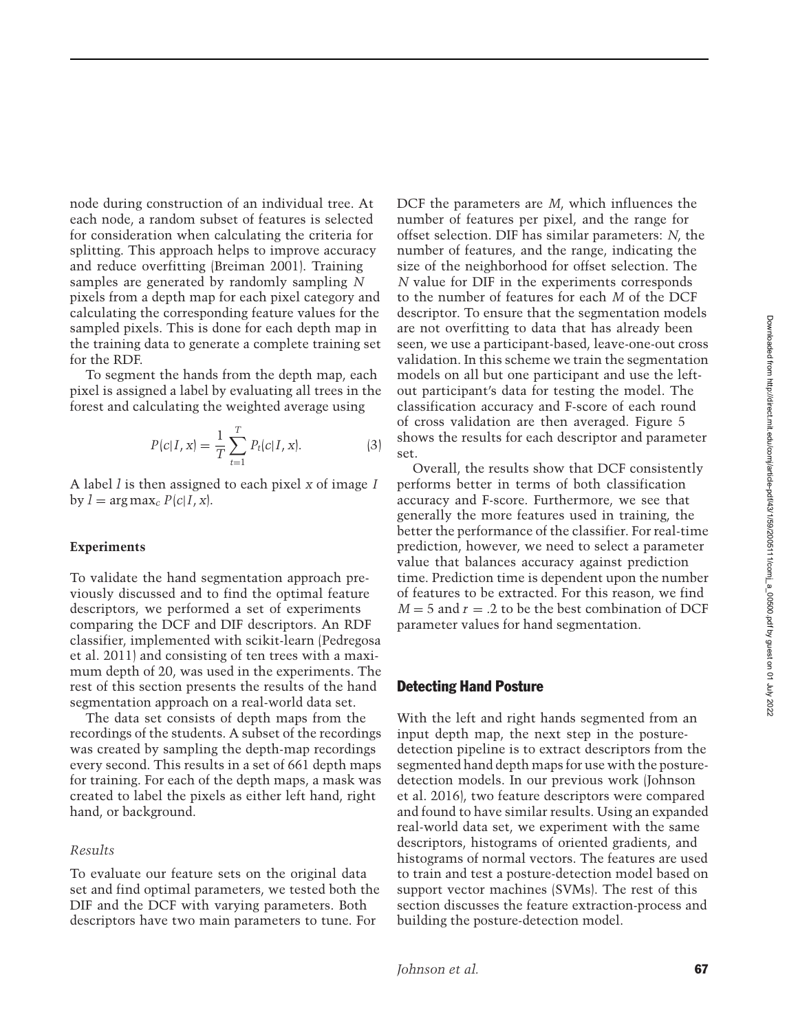node during construction of an individual tree. At each node, a random subset of features is selected for consideration when calculating the criteria for splitting. This approach helps to improve accuracy and reduce overfitting [\(Breiman 2001\)](#page-17-8). Training samples are generated by randomly sampling *N* pixels from a depth map for each pixel category and calculating the corresponding feature values for the sampled pixels. This is done for each depth map in the training data to generate a complete training set for the RDF.

To segment the hands from the depth map, each pixel is assigned a label by evaluating all trees in the forest and calculating the weighted average using

$$
P(c|I, x) = \frac{1}{T} \sum_{t=1}^{T} P_t(c|I, x).
$$
 (3)

A label *l* is then assigned to each pixel *x* of image *I* by  $l = \arg \max_{c} P(c|I, x)$ .

#### **Experiments**

To validate the hand segmentation approach previously discussed and to find the optimal feature descriptors, we performed a set of experiments comparing the DCF and DIF descriptors. An RDF class[ifier,](#page-18-18) [implemented](#page-18-18) [with](#page-18-18) [scikit-learn](#page-18-18) [\(](#page-18-18)Pedregosa et al. [2011\)](#page-18-18) and consisting of ten trees with a maximum depth of 20, was used in the experiments. The rest of this section presents the results of the hand segmentation approach on a real-world data set.

The data set consists of depth maps from the recordings of the students. A subset of the recordings was created by sampling the depth-map recordings every second. This results in a set of 661 depth maps for training. For each of the depth maps, a mask was created to label the pixels as either left hand, right hand, or background.

#### *Results*

To evaluate our feature sets on the original data set and find optimal parameters, we tested both the DIF and the DCF with varying parameters. Both descriptors have two main parameters to tune. For

DCF the parameters are *M*, which influences the number of features per pixel, and the range for offset selection. DIF has similar parameters: *N*, the number of features, and the range, indicating the size of the neighborhood for offset selection. The *N* value for DIF in the experiments corresponds to the number of features for each *M* of the DCF descriptor. To ensure that the segmentation models are not overfitting to data that has already been seen, we use a participant-based, leave-one-out cross validation. In this scheme we train the segmentation models on all but one participant and use the leftout participant's data for testing the model. The classification accuracy and F-score of each round of cross validation are then averaged. Figure 5 shows the results for each descriptor and parameter set.

Overall, the results show that DCF consistently performs better in terms of both classification accuracy and F-score. Furthermore, we see that generally the more features used in training, the better the performance of the classifier. For real-time prediction, however, we need to select a parameter value that balances accuracy against prediction time. Prediction time is dependent upon the number of features to be extracted. For this reason, we find  $M = 5$  and  $r = .2$  to be the best combination of DCF parameter values for hand segmentation.

#### Detecting Hand Posture

With the left and right hands segmented from an input depth map, the next step in the posturedetection pipeline is to extract descriptors from the segmented hand depth maps for use with the posturedete[ction models. In our previous work \(](#page-18-2)Johnson et al. [2016\)](#page-18-2), two feature descriptors were compared and found to have similar results. Using an expanded real-world data set, we experiment with the same descriptors, histograms of oriented gradients, and histograms of normal vectors. The features are used to train and test a posture-detection model based on support vector machines (SVMs). The rest of this section discusses the feature extraction-process and building the posture-detection model.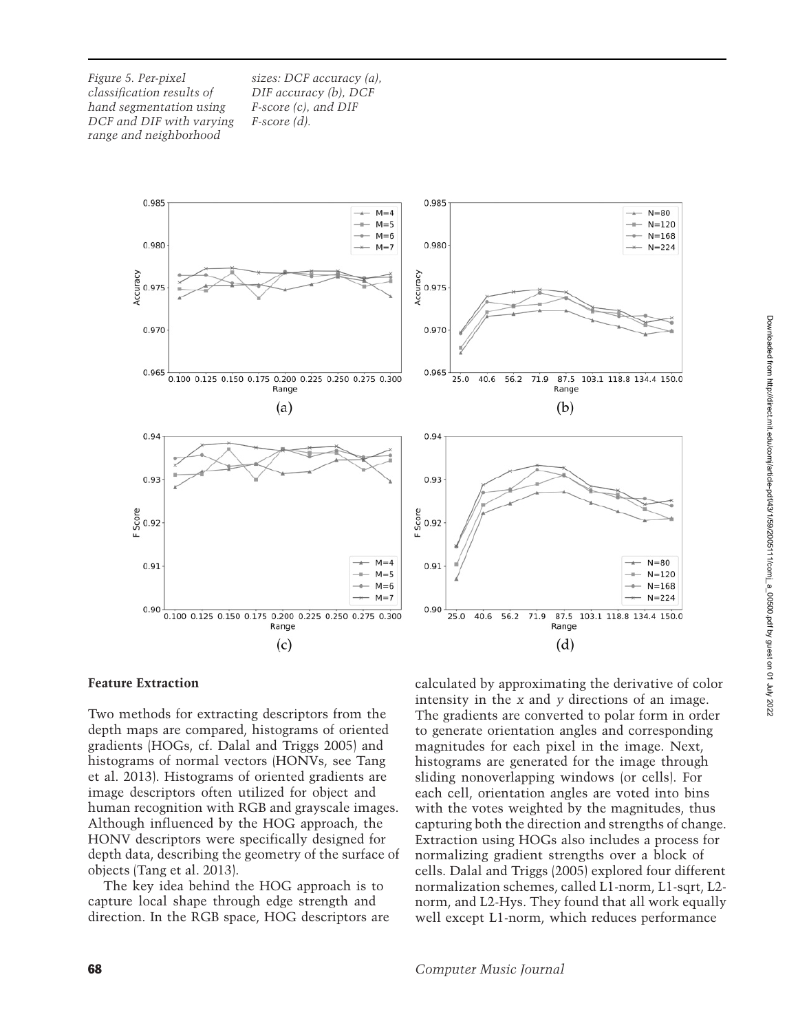*Figure 5. Per-pixel classification results of hand segmentation using DCF and DIF with varying range and neighborhood*

*sizes: DCF accuracy (a), DIF accuracy (b), DCF F-score (c), and DIF F-score (d).*



#### **Feature Extraction**

Two methods for extracting descriptors from the depth maps are compared, histograms of oriented gradients (HOGs, cf. [Dalal and Triggs 2005\)](#page-17-9) and histo[grams](#page-19-2) [of](#page-19-2) [normal](#page-19-2) [vectors](#page-19-2) [\(HONVs,](#page-19-2) [see](#page-19-2) Tang et al. [2013\)](#page-19-2). Histograms of oriented gradients are image descriptors often utilized for object and human recognition with RGB and grayscale images. Although influenced by the HOG approach, the HONV descriptors were specifically designed for depth data, describing the geometry of the surface of objects [\(Tang et al. 2013](#page-19-2)).

The key idea behind the HOG approach is to capture local shape through edge strength and direction. In the RGB space, HOG descriptors are calculated by approximating the derivative of color intensity in the *x* and *y* directions of an image. The gradients are converted to polar form in order to generate orientation angles and corresponding magnitudes for each pixel in the image. Next, histograms are generated for the image through sliding nonoverlapping windows (or cells). For each cell, orientation angles are voted into bins with the votes weighted by the magnitudes, thus capturing both the direction and strengths of change. Extraction using HOGs also includes a process for normalizing gradient strengths over a block of cells. [Dalal and Triggs](#page-17-9) [\(2005](#page-17-9)) explored four different normalization schemes, called L1-norm, L1-sqrt, L2 norm, and L2-Hys. They found that all work equally well except L1-norm, which reduces performance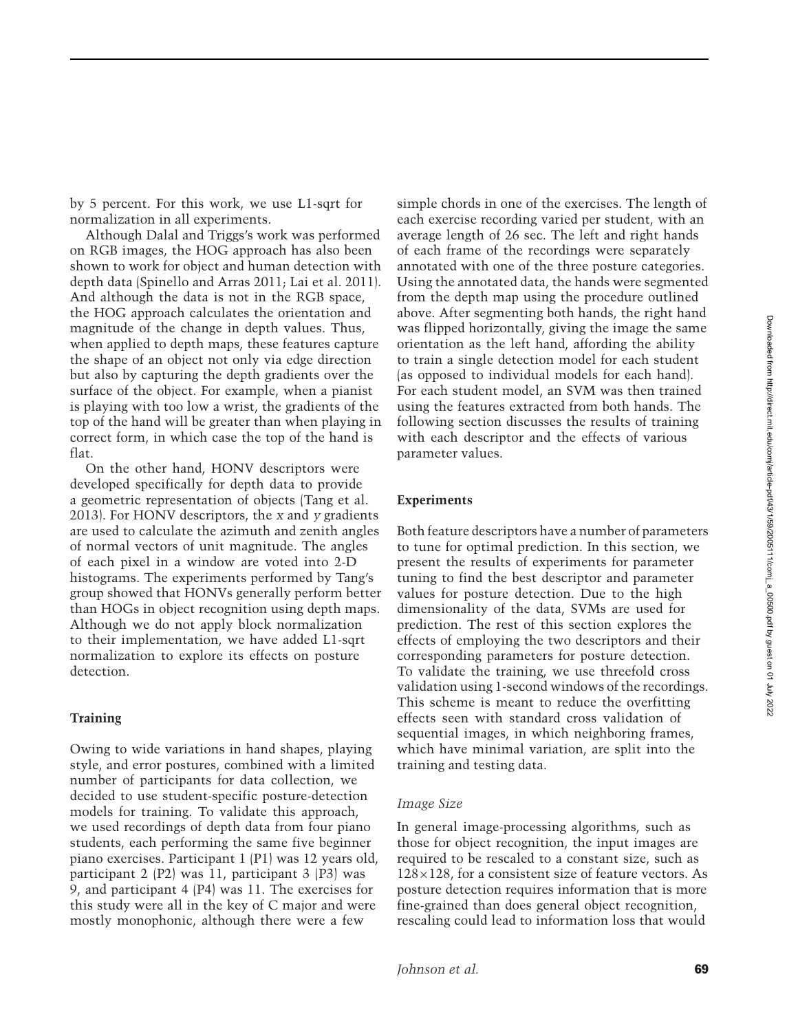by 5 percent. For this work, we use L1-sqrt for normalization in all experiments.

Although [Dalal and Triggs'](#page-17-9)s work was performed on RGB images, the HOG approach has also been shown to work for object and human detection with depth data [\(Spinello and Arras 2011;](#page-18-19) [Lai et al. 2011](#page-18-20)). And although the data is not in the RGB space, the HOG approach calculates the orientation and magnitude of the change in depth values. Thus, when applied to depth maps, these features capture the shape of an object not only via edge direction but also by capturing the depth gradients over the surface of the object. For example, when a pianist is playing with too low a wrist, the gradients of the top of the hand will be greater than when playing in correct form, in which case the top of the hand is flat.

On the other hand, HONV descriptors were developed specifically for depth data to provide a geometric representation of objects [\(Tang et al.](#page-19-2) [2013\)](#page-19-2). For HONV descriptors, the *x* and *y* gradients are used to calculate the azimuth and zenith angles of normal vectors of unit magnitude. The angles of each pixel in a window are voted into 2-D histograms. The experiments performed by Tang's group showed that HONVs generally perform better than HOGs in object recognition using depth maps. Although we do not apply block normalization to their implementation, we have added L1-sqrt normalization to explore its effects on posture detection.

#### **Training**

Owing to wide variations in hand shapes, playing style, and error postures, combined with a limited number of participants for data collection, we decided to use student-specific posture-detection models for training. To validate this approach, we used recordings of depth data from four piano students, each performing the same five beginner piano exercises. Participant 1 (P1) was 12 years old, participant 2 (P2) was 11, participant 3 (P3) was 9, and participant 4 (P4) was 11. The exercises for this study were all in the key of C major and were mostly monophonic, although there were a few

simple chords in one of the exercises. The length of each exercise recording varied per student, with an average length of 26 sec. The left and right hands of each frame of the recordings were separately annotated with one of the three posture categories. Using the annotated data, the hands were segmented from the depth map using the procedure outlined above. After segmenting both hands, the right hand was flipped horizontally, giving the image the same orientation as the left hand, affording the ability to train a single detection model for each student (as opposed to individual models for each hand). For each student model, an SVM was then trained using the features extracted from both hands. The following section discusses the results of training with each descriptor and the effects of various parameter values.

#### **Experiments**

Both feature descriptors have a number of parameters to tune for optimal prediction. In this section, we present the results of experiments for parameter tuning to find the best descriptor and parameter values for posture detection. Due to the high dimensionality of the data, SVMs are used for prediction. The rest of this section explores the effects of employing the two descriptors and their corresponding parameters for posture detection. To validate the training, we use threefold cross validation using 1-second windows of the recordings. This scheme is meant to reduce the overfitting effects seen with standard cross validation of sequential images, in which neighboring frames, which have minimal variation, are split into the training and testing data.

#### *Image Size*

In general image-processing algorithms, such as those for object recognition, the input images are required to be rescaled to a constant size, such as  $128\times128$ , for a consistent size of feature vectors. As posture detection requires information that is more fine-grained than does general object recognition, rescaling could lead to information loss that would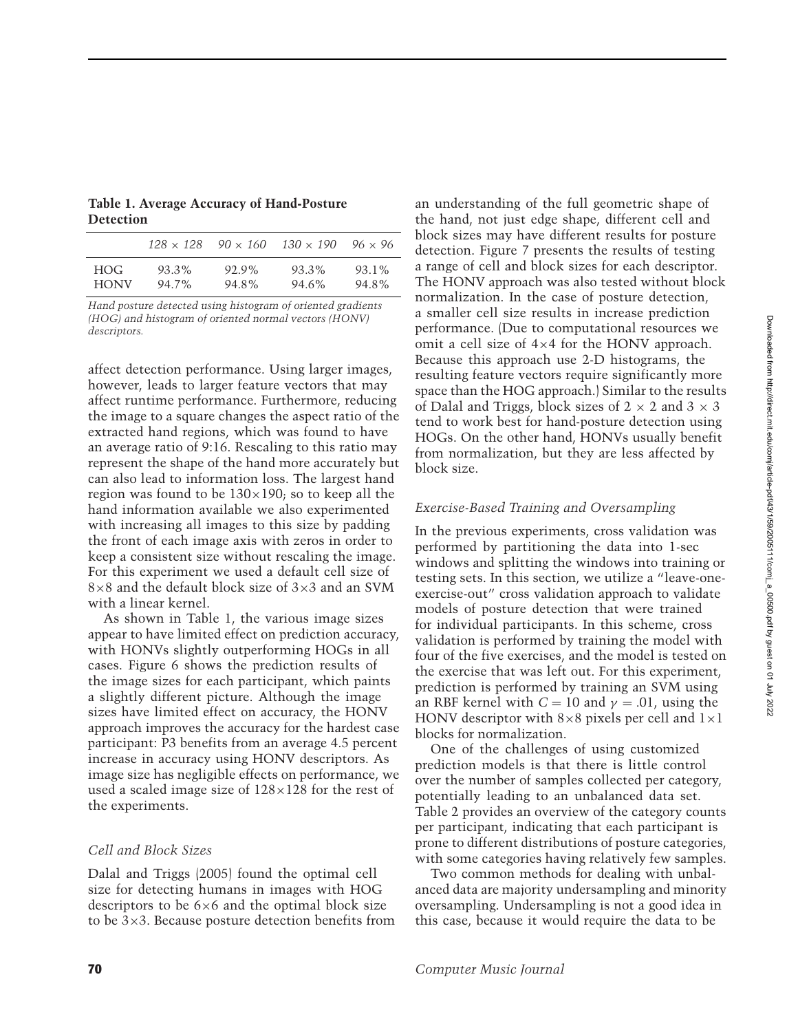Downloaded from http://direct.mit.edu/comj/article-pdf/43/1/59/2005111/com<u>j\_a\_</u>00500.pdf by guest on 01 July 2022 Downloaded from http://direct.mit.edu/comj/article-pdf/43/1/59/2005111/comj\_a\_00500.pdf by guest on 01 July 2022

<span id="page-11-0"></span>**Table 1. Average Accuracy of Hand-Posture Detection**

|             | $128 \times 128$ | $90 \times 160$ | $130 \times 190$ | $96 \times 96$ |
|-------------|------------------|-----------------|------------------|----------------|
| HOG.        | 93.3%            | 92.9%           | 93.3%            | 93.1%          |
| <b>HONV</b> | 94.7%            | 94.8%           | 94.6%            | 94.8%          |

*Hand posture detected using histogram of oriented gradients (HOG) and histogram of oriented normal vectors (HONV) descriptors.*

affect detection performance. Using larger images, however, leads to larger feature vectors that may affect runtime performance. Furthermore, reducing the image to a square changes the aspect ratio of the extracted hand regions, which was found to have an average ratio of 9:16. Rescaling to this ratio may represent the shape of the hand more accurately but can also lead to information loss. The largest hand region was found to be  $130\times190$ ; so to keep all the hand information available we also experimented with increasing all images to this size by padding the front of each image axis with zeros in order to keep a consistent size without rescaling the image. For this experiment we used a default cell size of 8×8 and the default block size of 3×3 and an SVM with a linear kernel.

As shown in Table [1,](#page-11-0) the various image sizes appear to have limited effect on prediction accuracy, with HONVs slightly outperforming HOGs in all cases. Figure 6 shows the prediction results of the image sizes for each participant, which paints a slightly different picture. Although the image sizes have limited effect on accuracy, the HONV approach improves the accuracy for the hardest case participant: P3 benefits from an average 4.5 percent increase in accuracy using HONV descriptors. As image size has negligible effects on performance, we used a scaled image size of  $128\times128$  for the rest of the experiments.

#### *Cell and Block Sizes*

Dalal and Triggs [\(2005](#page-17-9)) found the optimal cell size for detecting humans in images with HOG descriptors to be  $6\times6$  and the optimal block size to be  $3\times3$ . Because posture detection benefits from an understanding of the full geometric shape of the hand, not just edge shape, different cell and block sizes may have different results for posture detection. Figure 7 presents the results of testing a range of cell and block sizes for each descriptor. The HONV approach was also tested without block normalization. In the case of posture detection, a smaller cell size results in increase prediction performance. (Due to computational resources we omit a cell size of 4×4 for the HONV approach. Because this approach use 2-D histograms, the resulting feature vectors require significantly more space than the HOG approach.) Similar to the results of [Dalal and Triggs,](#page-17-9) block sizes of  $2 \times 2$  and  $3 \times 3$ tend to work best for hand-posture detection using HOGs. On the other hand, HONVs usually benefit from normalization, but they are less affected by block size.

# *Exercise-Based Training and Oversampling*

In the previous experiments, cross validation was performed by partitioning the data into 1-sec windows and splitting the windows into training or testing sets. In this section, we utilize a "leave-oneexercise-out" cross validation approach to validate models of posture detection that were trained for individual participants. In this scheme, cross validation is performed by training the model with four of the five exercises, and the model is tested on the exercise that was left out. For this experiment, prediction is performed by training an SVM using an RBF kernel with  $C = 10$  and  $\gamma = .01$ , using the HONV descriptor with  $8\times8$  pixels per cell and  $1\times1$ blocks for normalization.

One of the challenges of using customized prediction models is that there is little control over the number of samples collected per category, potentially leading to an unbalanced data set. Table [2](#page-12-0) provides an overview of the category counts per participant, indicating that each participant is prone to different distributions of posture categories, with some categories having relatively few samples.

Two common methods for dealing with unbalanced data are majority undersampling and minority oversampling. Undersampling is not a good idea in this case, because it would require the data to be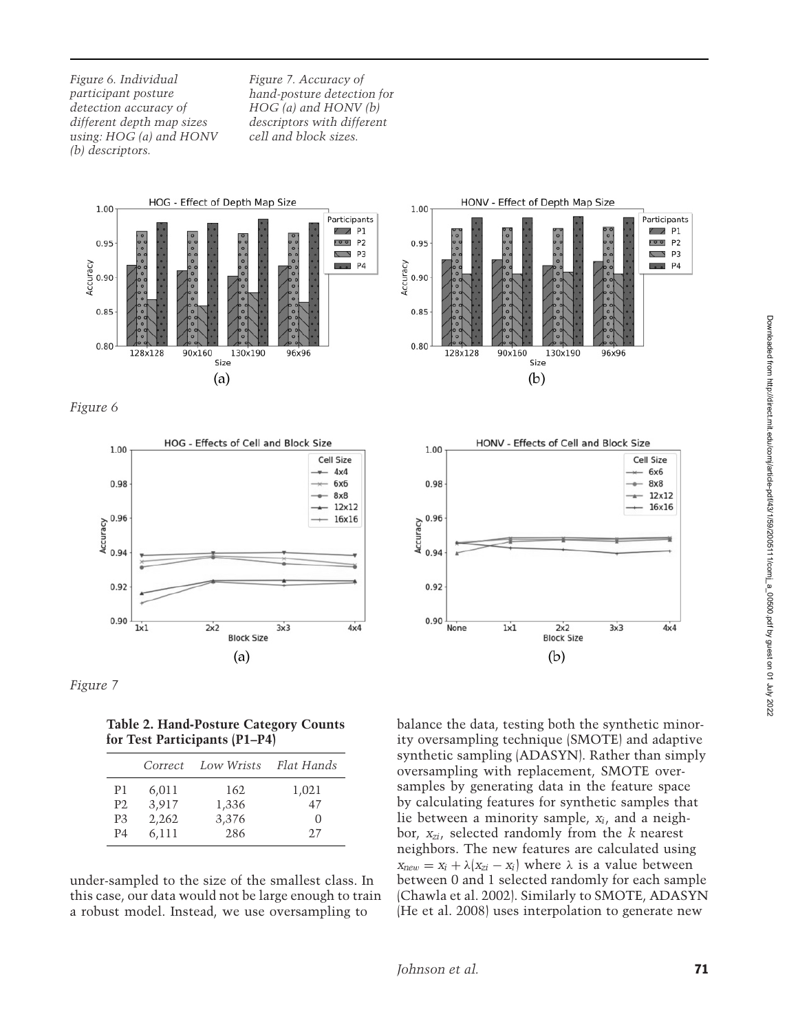*Figure 6. Individual participant posture detection accuracy of different depth map sizes using: HOG (a) and HONV (b) descriptors.*

*Figure 7. Accuracy of hand-posture detection for HOG (a) and HONV (b) descriptors with different cell and block sizes.*









**Table 2. Hand-Posture Category Counts for Test Participants (P1–P4)**

<span id="page-12-0"></span>

|                | Correct | Low Wrists | Flat Hands       |
|----------------|---------|------------|------------------|
| P1             | 6,011   | 162        | 1,021            |
| P <sub>2</sub> | 3,917   | 1,336      | 47               |
| P <sub>3</sub> | 2,262   | 3,376      | $\left( \right)$ |
| P <sub>4</sub> | 6,111   | 286        | 2.7              |

under-sampled to the size of the smallest class. In this case, our data would not be large enough to train a robust model. Instead, we use oversampling to



balance the data, testing both the synthetic minority oversampling technique (SMOTE) and adaptive synthetic sampling (ADASYN). Rather than simply oversampling with replacement, SMOTE oversamples by generating data in the feature space by calculating features for synthetic samples that lie between a minority sample, *xi*, and a neighbor, *xzi*, selected randomly from the *k* nearest neighbors. The new features are calculated using  $x_{new} = x_i + \lambda (x_{zi} - x_i)$  where  $\lambda$  is a value between between 0 and 1 selected randomly for each sample [\(Chawla et al. 2002\)](#page-17-10). Similarly to SMOTE, ADASYN [\(He et al. 2008](#page-17-11)) uses interpolation to generate new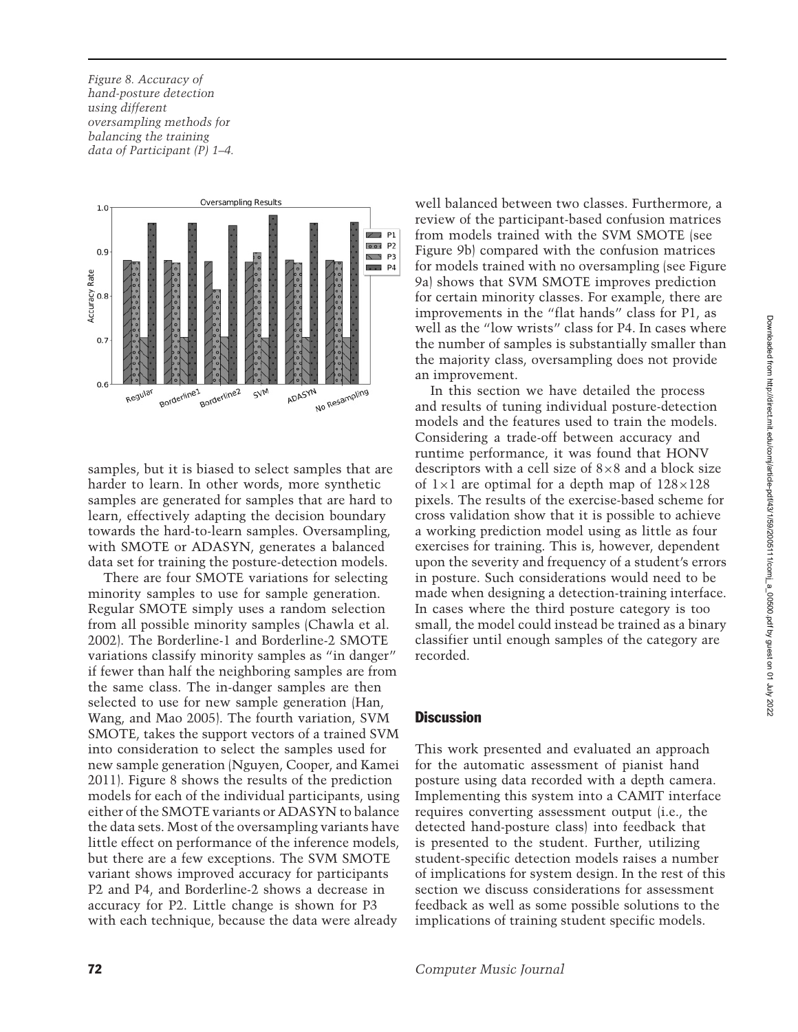*Figure 8. Accuracy of hand-posture detection using different oversampling methods for balancing the training data of Participant (P) 1–4.*



samples, but it is biased to select samples that are harder to learn. In other words, more synthetic samples are generated for samples that are hard to learn, effectively adapting the decision boundary towards the hard-to-learn samples. Oversampling, with SMOTE or ADASYN, generates a balanced data set for training the posture-detection models.

There are four SMOTE variations for selecting minority samples to use for sample generation. Regular SMOTE simply uses a random selection from all possible minority samples [\(Chawla et al.](#page-17-10) [2002\)](#page-17-10). The Borderline-1 and Borderline-2 SMOTE variations classify minority samples as "in danger" if fewer than half the neighboring samples are from the same class. The in-danger samples are then selected to use [for](#page-17-12) [new](#page-17-12) [sample](#page-17-12) [generation](#page-17-12) [\(](#page-17-12)Han, Wang, and Mao [2005\)](#page-17-12). The fourth variation, SVM SMOTE, takes the support vectors of a trained SVM into consideration to select the samples used for new sample generation [\(Nguyen, Cooper, and Kamei](#page-18-21) [2011\)](#page-18-21). Figure 8 shows the results of the prediction models for each of the individual participants, using either of the SMOTE variants or ADASYN to balance the data sets. Most of the oversampling variants have little effect on performance of the inference models, but there are a few exceptions. The SVM SMOTE variant shows improved accuracy for participants P2 and P4, and Borderline-2 shows a decrease in accuracy for P2. Little change is shown for P3 with each technique, because the data were already

well balanced between two classes. Furthermore, a review of the participant-based confusion matrices from models trained with the SVM SMOTE (see Figure 9b) compared with the confusion matrices for models trained with no oversampling (see Figure 9a) shows that SVM SMOTE improves prediction for certain minority classes. For example, there are improvements in the "flat hands" class for P1, as well as the "low wrists" class for P4. In cases where the number of samples is substantially smaller than the majority class, oversampling does not provide an improvement.

In this section we have detailed the process and results of tuning individual posture-detection models and the features used to train the models. Considering a trade-off between accuracy and runtime performance, it was found that HONV descriptors with a cell size of  $8\times 8$  and a block size of  $1\times1$  are optimal for a depth map of  $128\times128$ pixels. The results of the exercise-based scheme for cross validation show that it is possible to achieve a working prediction model using as little as four exercises for training. This is, however, dependent upon the severity and frequency of a student's errors in posture. Such considerations would need to be made when designing a detection-training interface. In cases where the third posture category is too small, the model could instead be trained as a binary classifier until enough samples of the category are recorded.

# **Discussion**

This work presented and evaluated an approach for the automatic assessment of pianist hand posture using data recorded with a depth camera. Implementing this system into a CAMIT interface requires converting assessment output (i.e., the detected hand-posture class) into feedback that is presented to the student. Further, utilizing student-specific detection models raises a number of implications for system design. In the rest of this section we discuss considerations for assessment feedback as well as some possible solutions to the implications of training student specific models.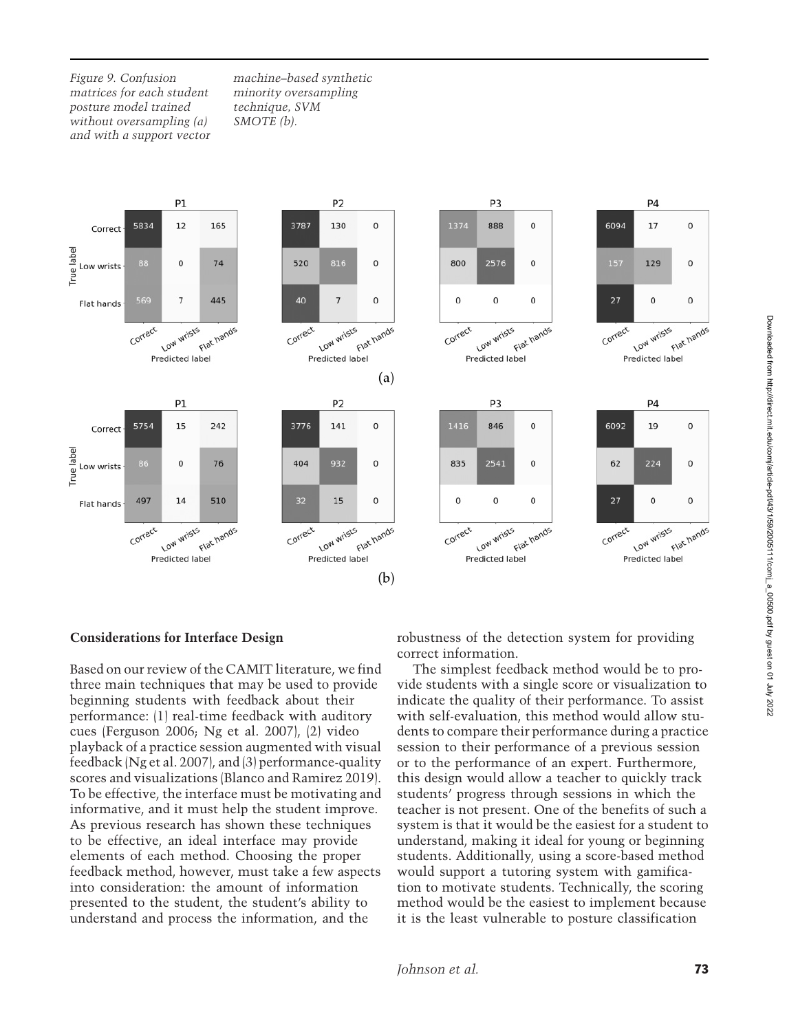*Figure 9. Confusion matrices for each student posture model trained without oversampling (a) and with a support vector*

*machine–based synthetic minority oversampling technique, SVM SMOTE (b).*



#### **Considerations for Interface Design**

Based on our review of the CAMIT literature, we find three main techniques that may be used to provide beginning students with feedback about their performance: (1) real-time feedback with auditory cues [\(Ferguson 2006](#page-17-13); [Ng et al. 2007](#page-18-8)), (2) video playback of a practice session augmented with visual feedback [\(Ng et al. 2007](#page-18-8)), and (3) performance-quality scores and visualizations [\(Blanco and Ramirez 2019](#page-17-14)). To be effective, the interface must be motivating and informative, and it must help the student improve. As previous research has shown these techniques to be effective, an ideal interface may provide elements of each method. Choosing the proper feedback method, however, must take a few aspects into consideration: the amount of information presented to the student, the student's ability to understand and process the information, and the

robustness of the detection system for providing correct information.

The simplest feedback method would be to provide students with a single score or visualization to indicate the quality of their performance. To assist with self-evaluation, this method would allow students to compare their performance during a practice session to their performance of a previous session or to the performance of an expert. Furthermore, this design would allow a teacher to quickly track students' progress through sessions in which the teacher is not present. One of the benefits of such a system is that it would be the easiest for a student to understand, making it ideal for young or beginning students. Additionally, using a score-based method would support a tutoring system with gamification to motivate students. Technically, the scoring method would be the easiest to implement because it is the least vulnerable to posture classification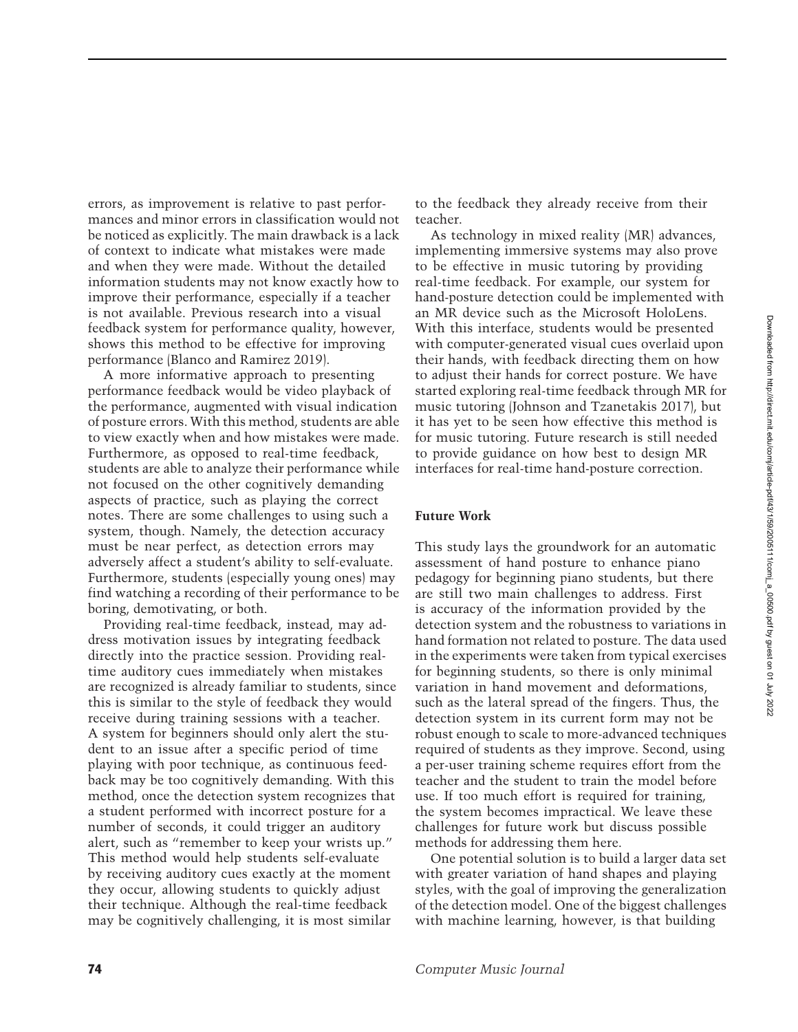errors, as improvement is relative to past performances and minor errors in classification would not be noticed as explicitly. The main drawback is a lack of context to indicate what mistakes were made and when they were made. Without the detailed information students may not know exactly how to improve their performance, especially if a teacher is not available. Previous research into a visual feedback system for performance quality, however, shows this method to be effective for improving performance [\(Blanco and Ramirez 2019\)](#page-17-14).

A more informative approach to presenting performance feedback would be video playback of the performance, augmented with visual indication of posture errors. With this method, students are able to view exactly when and how mistakes were made. Furthermore, as opposed to real-time feedback, students are able to analyze their performance while not focused on the other cognitively demanding aspects of practice, such as playing the correct notes. There are some challenges to using such a system, though. Namely, the detection accuracy must be near perfect, as detection errors may adversely affect a student's ability to self-evaluate. Furthermore, students (especially young ones) may find watching a recording of their performance to be boring, demotivating, or both.

Providing real-time feedback, instead, may address motivation issues by integrating feedback directly into the practice session. Providing realtime auditory cues immediately when mistakes are recognized is already familiar to students, since this is similar to the style of feedback they would receive during training sessions with a teacher. A system for beginners should only alert the student to an issue after a specific period of time playing with poor technique, as continuous feedback may be too cognitively demanding. With this method, once the detection system recognizes that a student performed with incorrect posture for a number of seconds, it could trigger an auditory alert, such as "remember to keep your wrists up." This method would help students self-evaluate by receiving auditory cues exactly at the moment they occur, allowing students to quickly adjust their technique. Although the real-time feedback may be cognitively challenging, it is most similar

to the feedback they already receive from their teacher.

As technology in mixed reality (MR) advances, implementing immersive systems may also prove to be effective in music tutoring by providing real-time feedback. For example, our system for hand-posture detection could be implemented with an MR device such as the Microsoft HoloLens. With this interface, students would be presented with computer-generated visual cues overlaid upon their hands, with feedback directing them on how to adjust their hands for correct posture. We have started exploring real-time feedback through MR for music tutoring [\(Johnson and Tzanetakis 2017\)](#page-18-22), but it has yet to be seen how effective this method is for music tutoring. Future research is still needed to provide guidance on how best to design MR interfaces for real-time hand-posture correction.

#### **Future Work**

This study lays the groundwork for an automatic assessment of hand posture to enhance piano pedagogy for beginning piano students, but there are still two main challenges to address. First is accuracy of the information provided by the detection system and the robustness to variations in hand formation not related to posture. The data used in the experiments were taken from typical exercises for beginning students, so there is only minimal variation in hand movement and deformations, such as the lateral spread of the fingers. Thus, the detection system in its current form may not be robust enough to scale to more-advanced techniques required of students as they improve. Second, using a per-user training scheme requires effort from the teacher and the student to train the model before use. If too much effort is required for training, the system becomes impractical. We leave these challenges for future work but discuss possible methods for addressing them here.

One potential solution is to build a larger data set with greater variation of hand shapes and playing styles, with the goal of improving the generalization of the detection model. One of the biggest challenges with machine learning, however, is that building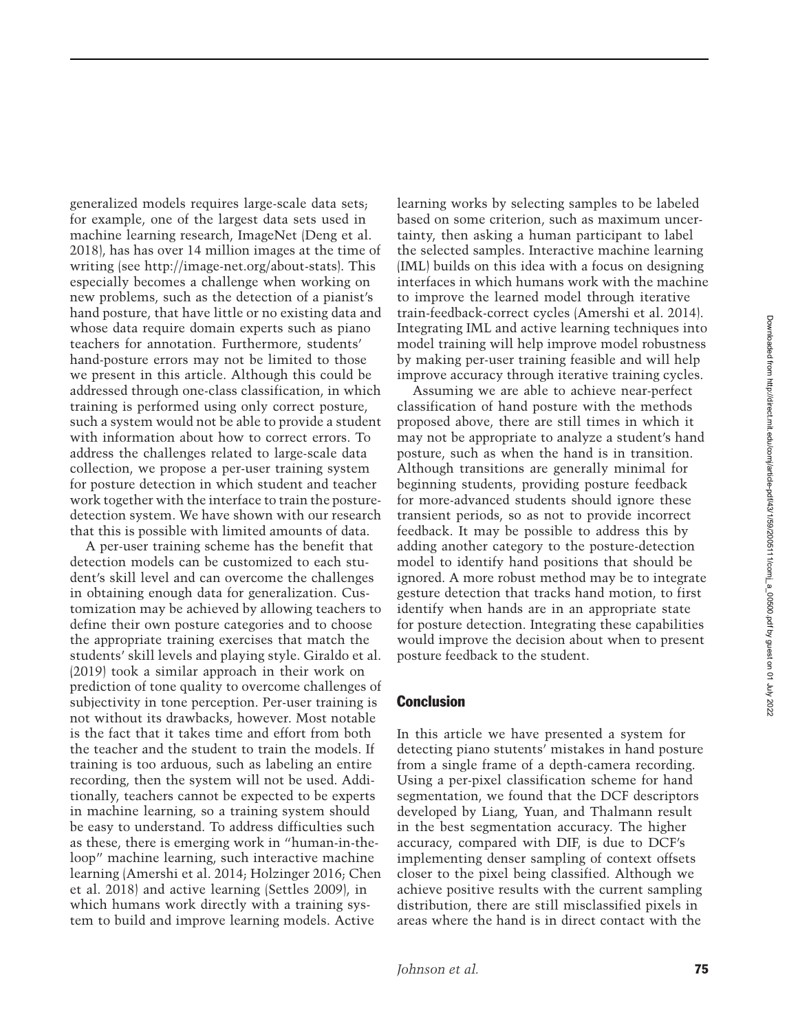generalized models requires large-scale data sets; for example, one of the largest data sets used in machine learning research, ImageNet [\(Deng et al.](#page-17-15) [2018\)](#page-17-15), has has over 14 million images at the time of writing (see http://image-net.org/about-stats). This especially becomes a challenge when working on new problems, such as the detection of a pianist's hand posture, that have little or no existing data and whose data require domain experts such as piano teachers for annotation. Furthermore, students' hand-posture errors may not be limited to those we present in this article. Although this could be addressed through one-class classification, in which training is performed using only correct posture, such a system would not be able to provide a student with information about how to correct errors. To address the challenges related to large-scale data collection, we propose a per-user training system for posture detection in which student and teacher work together with the interface to train the posturedetection system. We have shown with our research that this is possible with limited amounts of data.

A per-user training scheme has the benefit that detection models can be customized to each student's skill level and can overcome the challenges in obtaining enough data for generalization. Customization may be achieved by allowing teachers to define their own posture categories and to choose the appropriate training exercises that match the students' skill levels and playing style. [Giraldo et al.](#page-17-2) [\(2019\)](#page-17-2) took a similar approach in their work on prediction of tone quality to overcome challenges of subjectivity in tone perception. Per-user training is not without its drawbacks, however. Most notable is the fact that it takes time and effort from both the teacher and the student to train the models. If training is too arduous, such as labeling an entire recording, then the system will not be used. Additionally, teachers cannot be expected to be experts in machine learning, so a training system should be easy to understand. To address difficulties such as these, there is emerging work in "human-in-theloop" machine learning, such interactive machine lear[ning](#page-17-17) [\(Amershi et al. 2014](#page-17-16)[;](#page-17-17) [Holzinger 2016](#page-18-23)[;](#page-17-17) Chen et al. [2018](#page-17-17)) and active learning [\(Settles 2009](#page-18-24)), in which humans work directly with a training system to build and improve learning models. Active

learning works by selecting samples to be labeled based on some criterion, such as maximum uncertainty, then asking a human participant to label the selected samples. Interactive machine learning (IML) builds on this idea with a focus on designing interfaces in which humans work with the machine to improve the learned model through iterative train-feedback-correct cycles [\(Amershi et al. 2014\)](#page-17-16). Integrating IML and active learning techniques into model training will help improve model robustness by making per-user training feasible and will help improve accuracy through iterative training cycles.

Assuming we are able to achieve near-perfect classification of hand posture with the methods proposed above, there are still times in which it may not be appropriate to analyze a student's hand posture, such as when the hand is in transition. Although transitions are generally minimal for beginning students, providing posture feedback for more-advanced students should ignore these transient periods, so as not to provide incorrect feedback. It may be possible to address this by adding another category to the posture-detection model to identify hand positions that should be ignored. A more robust method may be to integrate gesture detection that tracks hand motion, to first identify when hands are in an appropriate state for posture detection. Integrating these capabilities would improve the decision about when to present posture feedback to the student.

#### **Conclusion**

In this article we have presented a system for detecting piano stutents' mistakes in hand posture from a single frame of a depth-camera recording. Using a per-pixel classification scheme for hand segmentation, we found that the DCF descriptors developed by [Liang, Yuan, and Thalmann](#page-18-16) result in the best segmentation accuracy. The higher accuracy, compared with DIF, is due to DCF's implementing denser sampling of context offsets closer to the pixel being classified. Although we achieve positive results with the current sampling distribution, there are still misclassified pixels in areas where the hand is in direct contact with the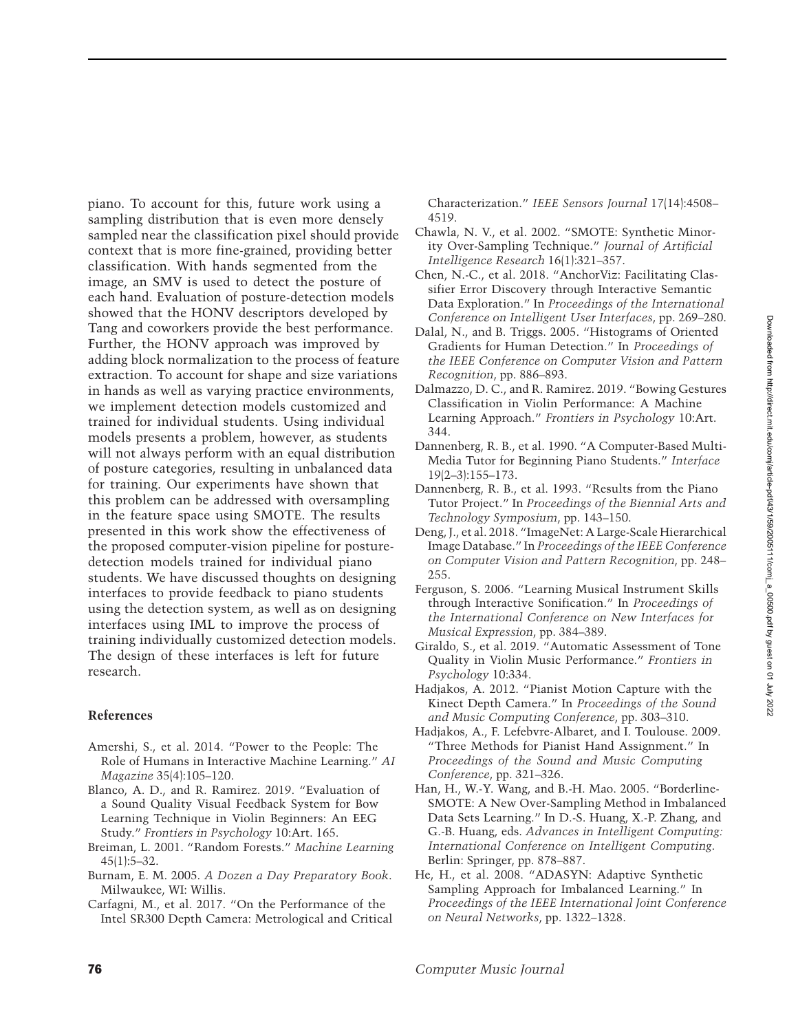piano. To account for this, future work using a sampling distribution that is even more densely sampled near the classification pixel should provide context that is more fine-grained, providing better classification. With hands segmented from the image, an SMV is used to detect the posture of each hand. Evaluation of posture-detection models showed that the HONV descriptors developed by Tang and coworkers provide the best performance. Further, the HONV approach was improved by adding block normalization to the process of feature extraction. To account for shape and size variations in hands as well as varying practice environments, we implement detection models customized and trained for individual students. Using individual models presents a problem, however, as students will not always perform with an equal distribution of posture categories, resulting in unbalanced data for training. Our experiments have shown that this problem can be addressed with oversampling in the feature space using SMOTE. The results presented in this work show the effectiveness of the proposed computer-vision pipeline for posturedetection models trained for individual piano students. We have discussed thoughts on designing interfaces to provide feedback to piano students using the detection system, as well as on designing interfaces using IML to improve the process of training individually customized detection models. The design of these interfaces is left for future research.

#### **References**

- <span id="page-17-16"></span>Amershi, S., et al. 2014. "Power to the People: The Role of Humans in Interactive Machine Learning." *AI Magazine* 35(4):105–120.
- <span id="page-17-14"></span>Blanco, A. D., and R. Ramirez. 2019. "Evaluation of a Sound Quality Visual Feedback System for Bow Learning Technique in Violin Beginners: An EEG Study." *Frontiers in Psychology* 10:Art. 165.
- <span id="page-17-8"></span>Breiman, L. 2001. "Random Forests." *Machine Learning*  $45(1):5-32.$
- <span id="page-17-7"></span>Burnam, E. M. 2005. *A Dozen a Day Preparatory Book*. Milwaukee, WI: Willis.
- <span id="page-17-6"></span>Carfagni, M., et al. 2017. "On the Performance of the Intel SR300 Depth Camera: Metrological and Critical

Characterization." *IEEE Sensors Journal* 17(14):4508– 4519.

- <span id="page-17-10"></span>Chawla, N. V., et al. 2002. "SMOTE: Synthetic Minority Over-Sampling Technique." *Journal of Artificial Intelligence Research* 16(1):321–357.
- <span id="page-17-17"></span>Chen, N.-C., et al. 2018. "AnchorViz: Facilitating Classifier Error Discovery through Interactive Semantic Data Exploration." In *Proceedings of the International Conference on Intelligent User Interfaces*, pp. 269–280.
- <span id="page-17-9"></span>Dalal, N., and B. Triggs. 2005. "Histograms of Oriented Gradients for Human Detection." In *Proceedings of the IEEE Conference on Computer Vision and Pattern Recognition*, pp. 886–893.
- <span id="page-17-3"></span>Dalmazzo, D. C., and R. Ramirez. 2019. "Bowing Gestures Classification in Violin Performance: A Machine Learning Approach." *Frontiers in Psychology* 10:Art. 344.
- <span id="page-17-1"></span>Dannenberg, R. B., et al. 1990. "A Computer-Based Multi-Media Tutor for Beginning Piano Students." *Interface* 19(2–3):155–173.
- <span id="page-17-0"></span>Dannenberg, R. B., et al. 1993. "Results from the Piano Tutor Project." In *Proceedings of the Biennial Arts and Technology Symposium*, pp. 143–150.
- <span id="page-17-15"></span>Deng, J., et al. 2018. "ImageNet: A Large-Scale Hierarchical Image Database." In *Proceedings of the IEEE Conference on Computer Vision and Pattern Recognition*, pp. 248– 255.
- <span id="page-17-13"></span>Ferguson, S. 2006. "Learning Musical Instrument Skills through Interactive Sonification." In *Proceedings of the International Conference on New Interfaces for Musical Expression*, pp. 384–389.
- <span id="page-17-2"></span>Giraldo, S., et al. 2019. "Automatic Assessment of Tone Quality in Violin Music Performance." *Frontiers in Psychology* 10:334.
- <span id="page-17-5"></span>Hadjakos, A. 2012. "Pianist Motion Capture with the Kinect Depth Camera." In *Proceedings of the Sound and Music Computing Conference*, pp. 303–310.
- <span id="page-17-4"></span>Hadjakos, A., F. Lefebvre-Albaret, and I. Toulouse. 2009. "Three Methods for Pianist Hand Assignment." In *Proceedings of the Sound and Music Computing Conference*, pp. 321–326.
- <span id="page-17-12"></span>Han, H., W.-Y. Wang, and B.-H. Mao. 2005. "Borderline-SMOTE: A New Over-Sampling Method in Imbalanced Data Sets Learning." In D.-S. Huang, X.-P. Zhang, and G.-B. Huang, eds. *Advances in Intelligent Computing: International Conference on Intelligent Computing*. Berlin: Springer, pp. 878–887.
- <span id="page-17-11"></span>He, H., et al. 2008. "ADASYN: Adaptive Synthetic Sampling Approach for Imbalanced Learning." In *Proceedings of the IEEE International Joint Conference on Neural Networks*, pp. 1322–1328.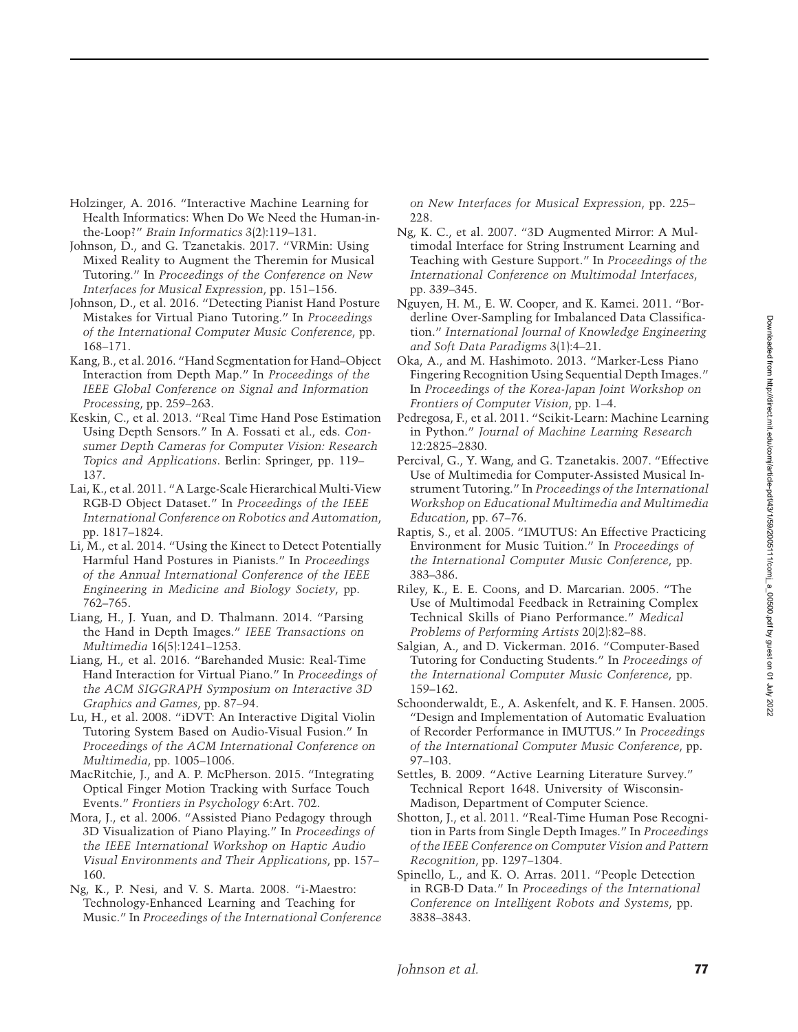- <span id="page-18-23"></span>Holzinger, A. 2016. "Interactive Machine Learning for Health Informatics: When Do We Need the Human-inthe-Loop?" *Brain Informatics* 3(2):119–131.
- <span id="page-18-22"></span>Johnson, D., and G. Tzanetakis. 2017. "VRMin: Using Mixed Reality to Augment the Theremin for Musical Tutoring." In *Proceedings of the Conference on New Interfaces for Musical Expression*, pp. 151–156.
- <span id="page-18-2"></span>Johnson, D., et al. 2016. "Detecting Pianist Hand Posture Mistakes for Virtual Piano Tutoring." In *Proceedings of the International Computer Music Conference*, pp. 168–171.
- <span id="page-18-17"></span>Kang, B., et al. 2016. "Hand Segmentation for Hand–Object Interaction from Depth Map." In *Proceedings of the IEEE Global Conference on Signal and Information Processing*, pp. 259–263.
- <span id="page-18-15"></span>Keskin, C., et al. 2013. "Real Time Hand Pose Estimation Using Depth Sensors." In A. Fossati et al., eds. *Consumer Depth Cameras for Computer Vision: Research Topics and Applications*. Berlin: Springer, pp. 119– 137.
- <span id="page-18-20"></span>Lai, K., et al. 2011. "A Large-Scale Hierarchical Multi-View RGB-D Object Dataset." In *Proceedings of the IEEE International Conference on Robotics and Automation*, pp. 1817–1824.
- <span id="page-18-13"></span>Li, M., et al. 2014. "Using the Kinect to Detect Potentially Harmful Hand Postures in Pianists." In *Proceedings of the Annual International Conference of the IEEE Engineering in Medicine and Biology Society*, pp. 762–765.
- <span id="page-18-16"></span>Liang, H., J. Yuan, and D. Thalmann. 2014. "Parsing the Hand in Depth Images." *IEEE Transactions on Multimedia* 16(5):1241–1253.
- <span id="page-18-11"></span>Liang, H., et al. 2016. "Barehanded Music: Real-Time Hand Interaction for Virtual Piano." In *Proceedings of the ACM SIGGRAPH Symposium on Interactive 3D Graphics and Games*, pp. 87–94.
- <span id="page-18-6"></span>Lu, H., et al. 2008. "iDVT: An Interactive Digital Violin Tutoring System Based on Audio-Visual Fusion." In *Proceedings of the ACM International Conference on Multimedia*, pp. 1005–1006.
- <span id="page-18-12"></span>MacRitchie, J., and A. P. McPherson. 2015. "Integrating Optical Finger Motion Tracking with Surface Touch Events." *Frontiers in Psychology* 6:Art. 702.
- <span id="page-18-7"></span>Mora, J., et al. 2006. "Assisted Piano Pedagogy through 3D Visualization of Piano Playing." In *Proceedings of the IEEE International Workshop on Haptic Audio Visual Environments and Their Applications*, pp. 157– 160.
- <span id="page-18-1"></span>Ng, K., P. Nesi, and V. S. Marta. 2008. "i-Maestro: Technology-Enhanced Learning and Teaching for Music." In *Proceedings of the International Conference*

*on New Interfaces for Musical Expression*, pp. 225– 228.

- <span id="page-18-8"></span>Ng, K. C., et al. 2007. "3D Augmented Mirror: A Multimodal Interface for String Instrument Learning and Teaching with Gesture Support." In *Proceedings of the International Conference on Multimodal Interfaces*, pp. 339–345.
- <span id="page-18-21"></span>Nguyen, H. M., E. W. Cooper, and K. Kamei. 2011. "Borderline Over-Sampling for Imbalanced Data Classification." *International Journal of Knowledge Engineering and Soft Data Paradigms* 3(1):4–21.
- <span id="page-18-10"></span>Oka, A., and M. Hashimoto. 2013. "Marker-Less Piano Fingering Recognition Using Sequential Depth Images." In *Proceedings of the Korea-Japan Joint Workshop on Frontiers of Computer Vision*, pp. 1–4.
- <span id="page-18-18"></span>Pedregosa, F., et al. 2011. "Scikit-Learn: Machine Learning in Python." *Journal of Machine Learning Research* 12:2825–2830.
- <span id="page-18-0"></span>Percival, G., Y. Wang, and G. Tzanetakis. 2007. "Effective Use of Multimedia for Computer-Assisted Musical Instrument Tutoring." In *Proceedings of the International Workshop on Educational Multimedia and Multimedia Education*, pp. 67–76.
- <span id="page-18-4"></span>Raptis, S., et al. 2005. "IMUTUS: An Effective Practicing Environment for Music Tuition." In *Proceedings of the International Computer Music Conference*, pp. 383–386.
- <span id="page-18-3"></span>Riley, K., E. E. Coons, and D. Marcarian. 2005. "The Use of Multimodal Feedback in Retraining Complex Technical Skills of Piano Performance." *Medical Problems of Performing Artists* 20(2):82–88.
- <span id="page-18-9"></span>Salgian, A., and D. Vickerman. 2016. "Computer-Based Tutoring for Conducting Students." In *Proceedings of the International Computer Music Conference*, pp. 159–162.
- <span id="page-18-5"></span>Schoonderwaldt, E., A. Askenfelt, and K. F. Hansen. 2005. "Design and Implementation of Automatic Evaluation of Recorder Performance in IMUTUS." In *Proceedings of the International Computer Music Conference*, pp. 97–103.
- <span id="page-18-24"></span>Settles, B. 2009. "Active Learning Literature Survey." Technical Report 1648. University of Wisconsin-Madison, Department of Computer Science.
- <span id="page-18-14"></span>Shotton, J., et al. 2011. "Real-Time Human Pose Recognition in Parts from Single Depth Images." In *Proceedings of the IEEE Conference on Computer Vision and Pattern Recognition*, pp. 1297–1304.
- <span id="page-18-19"></span>Spinello, L., and K. O. Arras. 2011. "People Detection in RGB-D Data." In *Proceedings of the International Conference on Intelligent Robots and Systems*, pp. 3838–3843.